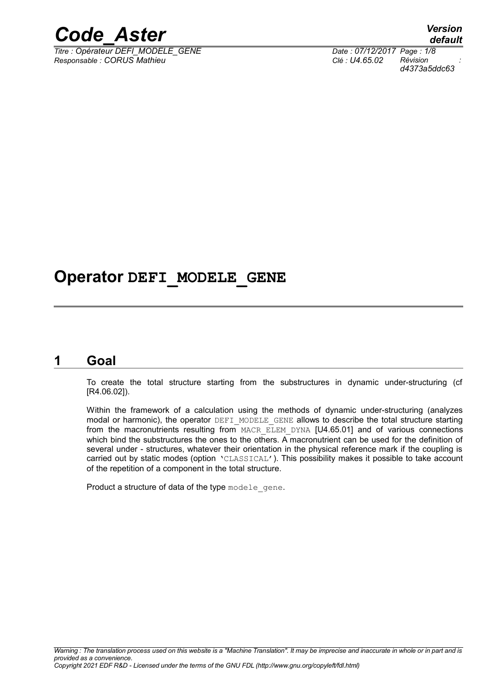

*Titre : Opérateur DEFI\_MODELE\_GENE Date : 07/12/2017 Page : 1/8 Responsable : CORUS Mathieu Clé : U4.65.02 Révision :*

*default d4373a5ddc63*

## **Operator DEFI\_MODELE\_GENE**

### **1 Goal**

<span id="page-0-0"></span>To create the total structure starting from the substructures in dynamic under-structuring (cf [R4.06.02]).

Within the framework of a calculation using the methods of dynamic under-structuring (analyzes modal or harmonic), the operator DEFI\_MODELE\_GENE allows to describe the total structure starting from the macronutrients resulting from MACR ELEM DYNA [U4.65.01] and of various connections which bind the substructures the ones to the others. A macronutrient can be used for the definition of several under - structures, whatever their orientation in the physical reference mark if the coupling is carried out by static modes (option 'CLASSICAL'). This possibility makes it possible to take account of the repetition of a component in the total structure.

Product a structure of data of the type modele gene.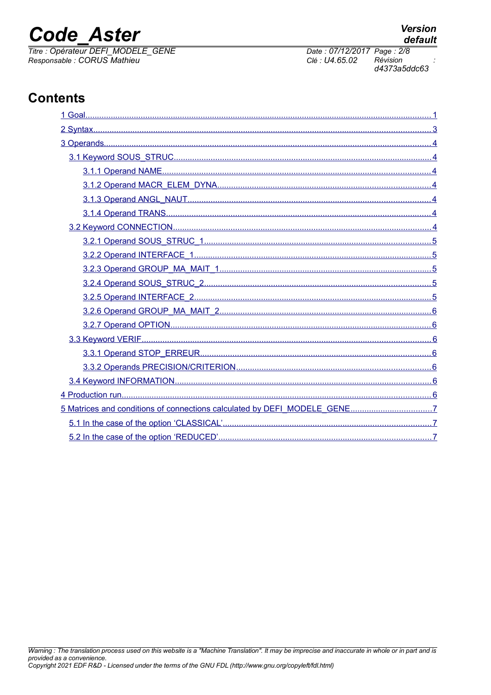## **Code Aster**

Titre : Opérateur DEFI\_MODELE\_GENE Responsable : CORUS Mathieu

## **Contents**

| 5.2 In the case of the option 'REDUCED' | $\overline{7}$ |
|-----------------------------------------|----------------|

Clé : U4.65.02

Date: 07/12/2017 Page: 2/8 Révision d4373a5ddc63

**Version** 

default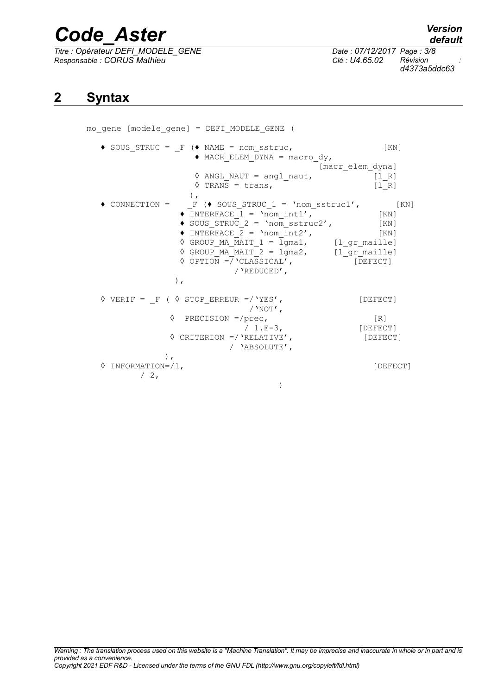*Titre : Opérateur DEFI\_MODELE\_GENE Date : 07/12/2017 Page : 3/8 Responsable : CORUS Mathieu Clé : U4.65.02 Révision :*

*default d4373a5ddc63*

### <span id="page-2-0"></span>**2 Syntax**

mo\_gene [modele\_gene] = DEFI\_MODELE\_GENE (  $\bullet$  SOUS STRUC =  $F (\bullet \text{ NAME} = \text{nom} \text{ sstruc},$  [KN]  $\triangle$  MACR ELEM DYNA = macro dy, [macr\_elem\_dyna]  $\Diamond$  ANGL NAUT = angl naut,  $\sqrt{PRANS} = trans,$  [lR]  $\begin{array}{ccccc} \bullet & \text{CONNECTION} & = & \text{F} \end{array}$  $F ($  SOUS STRUC 1 = 'nom sstruc1', [KN]  $\sqrt{\text{INTERFACE}} = \text{Vnom}_\text{init1}',$  [KN]  $\bullet$  SOUS STRUC 2 = 'nom sstruc2', [KN]  $\rightarrow$  INTERFACE  $\overline{2}$  = 'nom int2', [KN]  $\sqrt[3]{}$  GROUP MA MAIT 1 = lgma1, [l gr maille]  $\sqrt{GROUP_{MAX}^{T}}$ MAIT $\boxed{2}$  = 1gma2,  $\boxed{1 \quad gr_{initial}}$  ◊ OPTION =/'CLASSICAL', [DEFECT] /'REDUCED', ),  $\Diamond$  VERIF = F (  $\Diamond$  STOP ERREUR =/'YES', [DEFECT]  $/$ 'NOT', ◊ PRECISION =/prec, [R] / 1.E-3, [DEFECT] ◊ CRITERION =/'RELATIVE', [DEFECT] / 'ABSOLUTE', ), ◊ INFORMATION=/1, [DEFECT]  $/2$ , )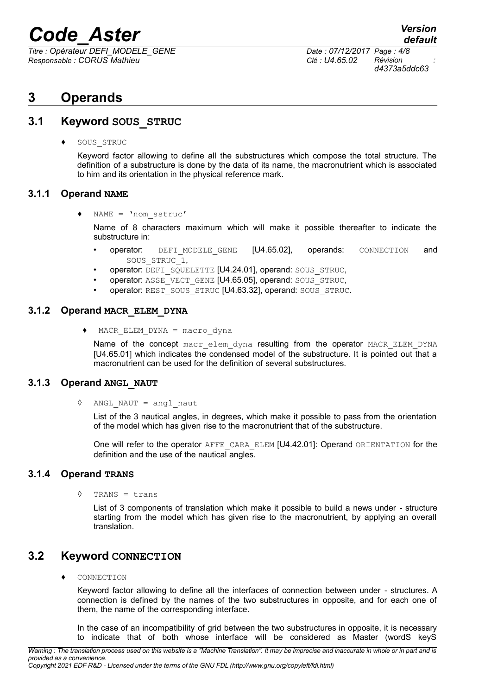*Titre : Opérateur DEFI\_MODELE\_GENE Date : 07/12/2017 Page : 4/8 Responsable : CORUS Mathieu Clé : U4.65.02 Révision :*

*d4373a5ddc63*

## <span id="page-3-6"></span>**3 Operands**

### **3.1 Keyword SOUS\_STRUC**

<span id="page-3-5"></span>♦ SOUS\_STRUC

Keyword factor allowing to define all the substructures which compose the total structure. The definition of a substructure is done by the data of its name, the macronutrient which is associated to him and its orientation in the physical reference mark.

#### **3.1.1 Operand NAME**

<span id="page-3-4"></span> $NAME = 'nom sstruc'$ 

Name of 8 characters maximum which will make it possible thereafter to indicate the substructure in:

- operator: DEFI\_MODELE\_GENE [U4.65.02], operands: CONNECTION and SOUS\_STRUC\_1,
- operator: DEFI\_SQUELETTE [U4.24.01], operand: SOUS\_STRUC,
- operator: ASSE\_VECT\_GENE [U4.65.05], operand: SOUS\_STRUC,
- operator: REST\_SOUS\_STRUC [U4.63.32], operand: SOUS\_STRUC.

#### **3.1.2 Operand MACR\_ELEM\_DYNA**

<span id="page-3-3"></span> $MACR$  ELEM DYNA = macro dyna

Name of the concept macr elem dyna resulting from the operator MACR ELEM DYNA [U4.65.01] which indicates the condensed model of the substructure. It is pointed out that a macronutrient can be used for the definition of several substructures.

#### **3.1.3 Operand ANGL\_NAUT**

<span id="page-3-2"></span>◊ ANGL\_NAUT = angl\_naut

List of the 3 nautical angles, in degrees, which make it possible to pass from the orientation of the model which has given rise to the macronutrient that of the substructure.

One will refer to the operator AFFE\_CARA\_ELEM [U4.42.01]: Operand ORIENTATION for the definition and the use of the nautical angles.

#### **3.1.4 Operand TRANS**

<span id="page-3-1"></span>◊ TRANS = trans

List of 3 components of translation which make it possible to build a news under - structure starting from the model which has given rise to the macronutrient, by applying an overall translation.

### **3.2 Keyword CONNECTION**

<span id="page-3-0"></span>♦ CONNECTION

Keyword factor allowing to define all the interfaces of connection between under - structures. A connection is defined by the names of the two substructures in opposite, and for each one of them, the name of the corresponding interface.

In the case of an incompatibility of grid between the two substructures in opposite, it is necessary to indicate that of both whose interface will be considered as Master (wordS keyS

*Warning : The translation process used on this website is a "Machine Translation". It may be imprecise and inaccurate in whole or in part and is provided as a convenience. Copyright 2021 EDF R&D - Licensed under the terms of the GNU FDL (http://www.gnu.org/copyleft/fdl.html)*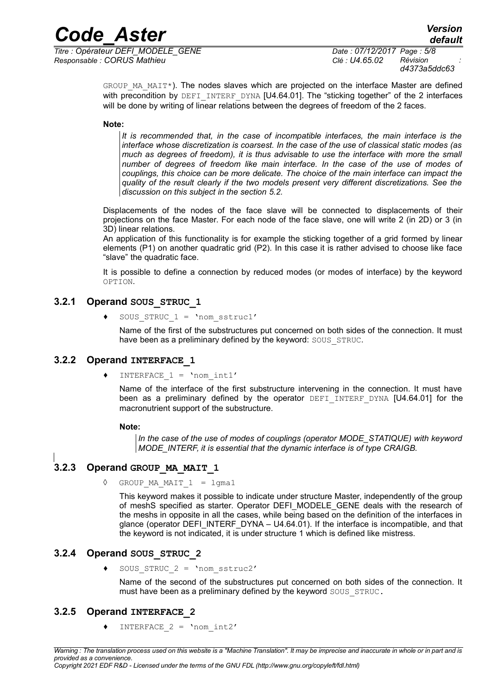*Titre : Opérateur DEFI\_MODELE\_GENE Date : 07/12/2017 Page : 5/8 Responsable : CORUS Mathieu Clé : U4.65.02 Révision :*

*d4373a5ddc63*

GROUP MA\_MAIT\*). The nodes slaves which are projected on the interface Master are defined with precondition by DEFI INTERF DYNA [U4.64.01]. The "sticking together" of the 2 interfaces will be done by writing of linear relations between the degrees of freedom of the 2 faces.

#### **Note:**

*It is recommended that, in the case of incompatible interfaces, the main interface is the interface whose discretization is coarsest. In the case of the use of classical static modes (as much as degrees of freedom), it is thus advisable to use the interface with more the small number of degrees of freedom like main interface. In the case of the use of modes of couplings, this choice can be more delicate. The choice of the main interface can impact the quality of the result clearly if the two models present very different discretizations. See the discussion on this subject in the section [5.2.](#page-6-0)*

Displacements of the nodes of the face slave will be connected to displacements of their projections on the face Master. For each node of the face slave, one will write 2 (in 2D) or 3 (in 3D) linear relations.

An application of this functionality is for example the sticking together of a grid formed by linear elements (P1) on another quadratic grid (P2). In this case it is rather advised to choose like face "slave" the quadratic face.

It is possible to define a connection by reduced modes (or modes of interface) by the keyword OPTION.

#### **3.2.1 Operand SOUS\_STRUC\_1**

<span id="page-4-4"></span>SOUS STRUC  $1 = 'nom_sstruc1'$ 

Name of the first of the substructures put concerned on both sides of the connection. It must have been as a preliminary defined by the keyword: SOUS STRUC.

#### **3.2.2 Operand INTERFACE\_1**

<span id="page-4-3"></span>INTERFACE  $1 = 'nom int1'$ 

Name of the interface of the first substructure intervening in the connection. It must have been as a preliminary defined by the operator DEFI INTERF DYNA [U4.64.01] for the macronutrient support of the substructure.

#### **Note:**

*In the case of the use of modes of couplings (operator MODE\_STATIQUE) with keyword MODE\_INTERF, it is essential that the dynamic interface is of type CRAIGB.*

#### **3.2.3 Operand GROUP\_MA\_MAIT\_1**

<span id="page-4-2"></span>◊ GROUP\_MA\_MAIT\_1 = lgma1

This keyword makes it possible to indicate under structure Master, independently of the group of meshS specified as starter. Operator DEFI\_MODELE\_GENE deals with the research of the meshs in opposite in all the cases, while being based on the definition of the interfaces in glance (operator DEFI\_INTERF\_DYNA – U4.64.01). If the interface is incompatible, and that the keyword is not indicated, it is under structure 1 which is defined like mistress.

#### **3.2.4 Operand SOUS\_STRUC\_2**

<span id="page-4-1"></span>SOUS STRUC  $2 = 'nom$  sstruc $2'$ 

Name of the second of the substructures put concerned on both sides of the connection. It must have been as a preliminary defined by the keyword SOUS STRUC.

#### **3.2.5 Operand INTERFACE\_2**

<span id="page-4-0"></span>INTERFACE  $2 = 'nom\_int2'$ 

*Copyright 2021 EDF R&D - Licensed under the terms of the GNU FDL (http://www.gnu.org/copyleft/fdl.html)*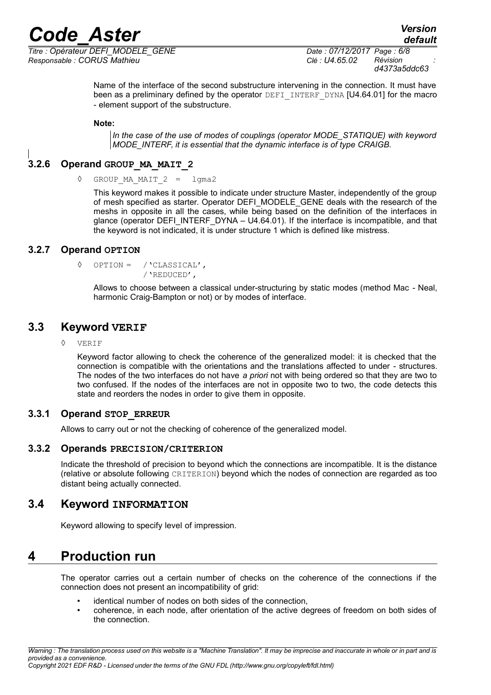*Titre : Opérateur DEFI\_MODELE\_GENE Date : 07/12/2017 Page : 6/8 Responsable : CORUS Mathieu Clé : U4.65.02 Révision :*

Name of the interface of the second substructure intervening in the connection. It must have been as a preliminary defined by the operator DEFI\_INTERF\_DYNA [U4.64.01] for the macro - element support of the substructure.

**Note:**

*In the case of the use of modes of couplings (operator MODE\_STATIQUE) with keyword MODE\_INTERF, it is essential that the dynamic interface is of type CRAIGB.*

#### **3.2.6 Operand GROUP\_MA\_MAIT\_2**

<span id="page-5-6"></span>◊ GROUP\_MA\_MAIT\_2 = lgma2

This keyword makes it possible to indicate under structure Master, independently of the group of mesh specified as starter. Operator DEFI\_MODELE\_GENE deals with the research of the meshs in opposite in all the cases, while being based on the definition of the interfaces in glance (operator DEFI\_INTERF\_DYNA – U4.64.01). If the interface is incompatible, and that the keyword is not indicated, it is under structure 1 which is defined like mistress.

#### **3.2.7 Operand OPTION**

<span id="page-5-5"></span>◊ OPTION = /'CLASSICAL', /'REDUCED',

Allows to choose between a classical under-structuring by static modes (method Mac - Neal, harmonic Craig-Bampton or not) or by modes of interface.

### **3.3 Keyword VERIF**

#### <span id="page-5-4"></span>**VERIF**

Keyword factor allowing to check the coherence of the generalized model: it is checked that the connection is compatible with the orientations and the translations affected to under - structures. The nodes of the two interfaces do not have *a priori* not with being ordered so that they are two to two confused. If the nodes of the interfaces are not in opposite two to two, the code detects this state and reorders the nodes in order to give them in opposite.

#### **3.3.1 Operand STOP\_ERREUR**

<span id="page-5-3"></span>Allows to carry out or not the checking of coherence of the generalized model.

#### **3.3.2 Operands PRECISION/CRITERION**

<span id="page-5-2"></span>Indicate the threshold of precision to beyond which the connections are incompatible. It is the distance (relative or absolute following CRITERION) beyond which the nodes of connection are regarded as too distant being actually connected.

#### **3.4 Keyword INFORMATION**

<span id="page-5-1"></span>Keyword allowing to specify level of impression.

## **4 Production run**

<span id="page-5-0"></span>The operator carries out a certain number of checks on the coherence of the connections if the connection does not present an incompatibility of grid:

- identical number of nodes on both sides of the connection,
- coherence, in each node, after orientation of the active degrees of freedom on both sides of the connection.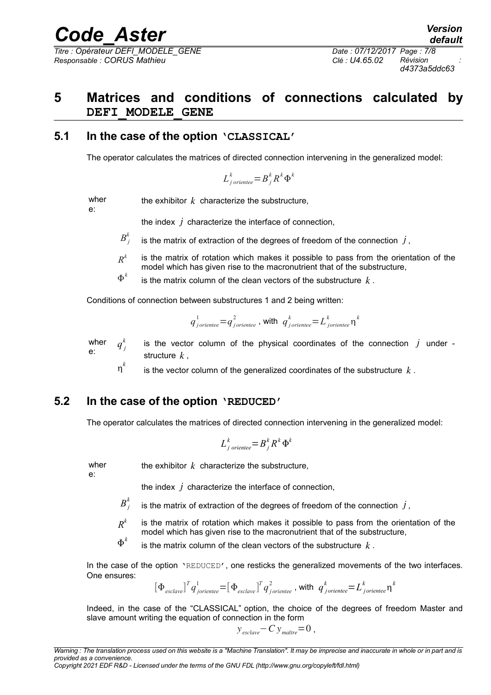*Code\_Aster Version Titre : Opérateur DEFI\_MODELE\_GENE Date : 07/12/2017 Page : 7/8*

*Responsable : CORUS Mathieu Clé : U4.65.02 Révision :*

*d4373a5ddc63*

## <span id="page-6-2"></span>**5 Matrices and conditions of connections calculated by DEFI\_MODELE\_GENE**

#### **5.1 In the case of the option 'CLASSICAL'**

<span id="page-6-1"></span>The operator calculates the matrices of directed connection intervening in the generalized model:

$$
L_{j\,oriente}^k = B_j^k R^k \Phi^k
$$

wher e:

the exhibitor *k* characterize the substructure,

the index *j* characterize the interface of connection,

 $B_j^k$ is the matrix of extraction of the degrees of freedom of the connection  $j$ ,

*R k* is the matrix of rotation which makes it possible to pass from the orientation of the model which has given rise to the macronutrient that of the substructure,

 $\Phi^k$ is the matrix column of the clean vectors of the substructure *k* .

Conditions of connection between substructures 1 and 2 being written:

$$
q_{\textit{joriente}}^1 = q_{\textit{joriente}}^2
$$
, with 
$$
q_{\textit{joriente}}^k = L_{\textit{joriente}}^k \eta^k
$$

wher e:  $q^{k}$ <sub>j</sub> is the vector column of the physical coordinates of the connection *j* under structure *k* ,

 *k* is the vector column of the generalized coordinates of the substructure *k* .

#### **5.2 In the case of the option 'REDUCED'**

<span id="page-6-0"></span>The operator calculates the matrices of directed connection intervening in the generalized model:

$$
L_{j\,\,oriente e}^k = B_j^k R^k \, \Phi^k
$$

wher e:

the exhibitor  $k$  characterize the substructure,

the index *j* characterize the interface of connection,

- $B_j^k$ is the matrix of extraction of the degrees of freedom of the connection  $j$ ,
- *R k* is the matrix of rotation which makes it possible to pass from the orientation of the model which has given rise to the macronutrient that of the substructure,
- $\Phi^k$ is the matrix column of the clean vectors of the substructure *k* .

In the case of the option 'REDUCED', one resticks the generalized movements of the two interfaces. One ensures:

$$
[\Phi_{\text{esclave}}]^T q_{\text{joriente}}^1 = [\Phi_{\text{esclave}}]^T q_{\text{joriente}}^2, \text{ with } q_{\text{joriente}}^k = L_{\text{joriente}}^k \eta^k
$$

Indeed, in the case of the "CLASSICAL" option, the choice of the degrees of freedom Master and slave amount writing the equation of connection in the form

$$
y_{\text{\}}\left(-C\right)y_{\text{matrix}}=0
$$
,

*Copyright 2021 EDF R&D - Licensed under the terms of the GNU FDL (http://www.gnu.org/copyleft/fdl.html)*